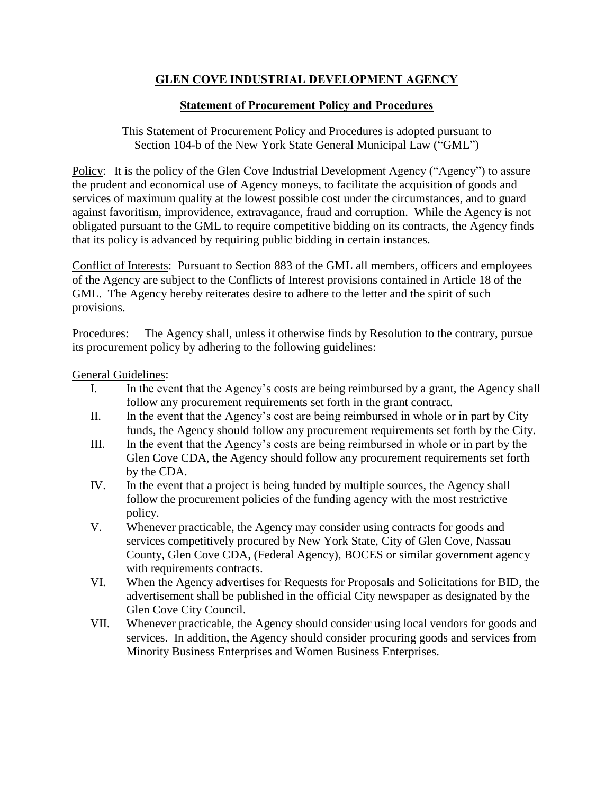# **GLEN COVE INDUSTRIAL DEVELOPMENT AGENCY**

## **Statement of Procurement Policy and Procedures**

This Statement of Procurement Policy and Procedures is adopted pursuant to Section 104-b of the New York State General Municipal Law ("GML")

Policy: It is the policy of the Glen Cove Industrial Development Agency ("Agency") to assure the prudent and economical use of Agency moneys, to facilitate the acquisition of goods and services of maximum quality at the lowest possible cost under the circumstances, and to guard against favoritism, improvidence, extravagance, fraud and corruption. While the Agency is not obligated pursuant to the GML to require competitive bidding on its contracts, the Agency finds that its policy is advanced by requiring public bidding in certain instances.

Conflict of Interests: Pursuant to Section 883 of the GML all members, officers and employees of the Agency are subject to the Conflicts of Interest provisions contained in Article 18 of the GML. The Agency hereby reiterates desire to adhere to the letter and the spirit of such provisions.

Procedures: The Agency shall, unless it otherwise finds by Resolution to the contrary, pursue its procurement policy by adhering to the following guidelines:

General Guidelines:

- I. In the event that the Agency's costs are being reimbursed by a grant, the Agency shall follow any procurement requirements set forth in the grant contract.
- II. In the event that the Agency's cost are being reimbursed in whole or in part by City funds, the Agency should follow any procurement requirements set forth by the City.
- III. In the event that the Agency's costs are being reimbursed in whole or in part by the Glen Cove CDA, the Agency should follow any procurement requirements set forth by the CDA.
- IV. In the event that a project is being funded by multiple sources, the Agency shall follow the procurement policies of the funding agency with the most restrictive policy.
- V. Whenever practicable, the Agency may consider using contracts for goods and services competitively procured by New York State, City of Glen Cove, Nassau County, Glen Cove CDA, (Federal Agency), BOCES or similar government agency with requirements contracts.
- VI. When the Agency advertises for Requests for Proposals and Solicitations for BID, the advertisement shall be published in the official City newspaper as designated by the Glen Cove City Council.
- VII. Whenever practicable, the Agency should consider using local vendors for goods and services. In addition, the Agency should consider procuring goods and services from Minority Business Enterprises and Women Business Enterprises.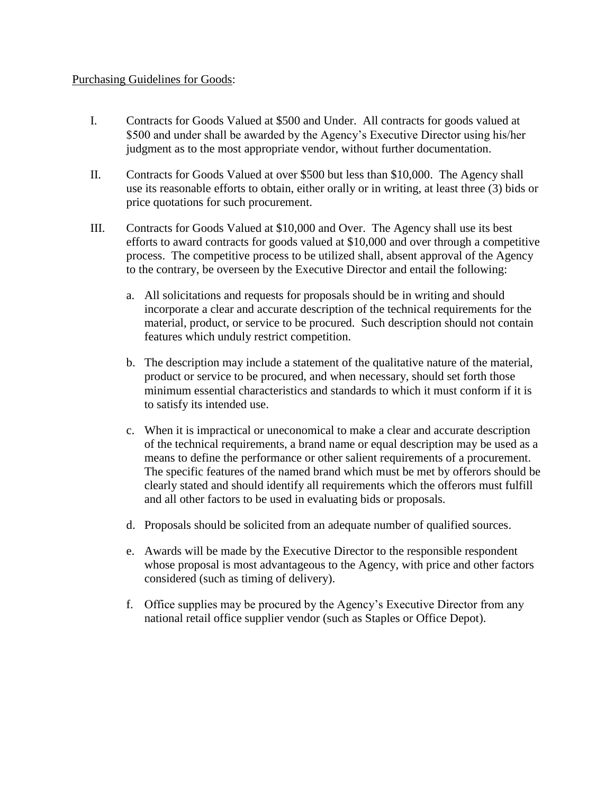### Purchasing Guidelines for Goods:

- I. Contracts for Goods Valued at \$500 and Under. All contracts for goods valued at \$500 and under shall be awarded by the Agency's Executive Director using his/her judgment as to the most appropriate vendor, without further documentation.
- II. Contracts for Goods Valued at over \$500 but less than \$10,000. The Agency shall use its reasonable efforts to obtain, either orally or in writing, at least three (3) bids or price quotations for such procurement.
- III. Contracts for Goods Valued at \$10,000 and Over. The Agency shall use its best efforts to award contracts for goods valued at \$10,000 and over through a competitive process. The competitive process to be utilized shall, absent approval of the Agency to the contrary, be overseen by the Executive Director and entail the following:
	- a. All solicitations and requests for proposals should be in writing and should incorporate a clear and accurate description of the technical requirements for the material, product, or service to be procured. Such description should not contain features which unduly restrict competition.
	- b. The description may include a statement of the qualitative nature of the material, product or service to be procured, and when necessary, should set forth those minimum essential characteristics and standards to which it must conform if it is to satisfy its intended use.
	- c. When it is impractical or uneconomical to make a clear and accurate description of the technical requirements, a brand name or equal description may be used as a means to define the performance or other salient requirements of a procurement. The specific features of the named brand which must be met by offerors should be clearly stated and should identify all requirements which the offerors must fulfill and all other factors to be used in evaluating bids or proposals.
	- d. Proposals should be solicited from an adequate number of qualified sources.
	- e. Awards will be made by the Executive Director to the responsible respondent whose proposal is most advantageous to the Agency, with price and other factors considered (such as timing of delivery).
	- f. Office supplies may be procured by the Agency's Executive Director from any national retail office supplier vendor (such as Staples or Office Depot).